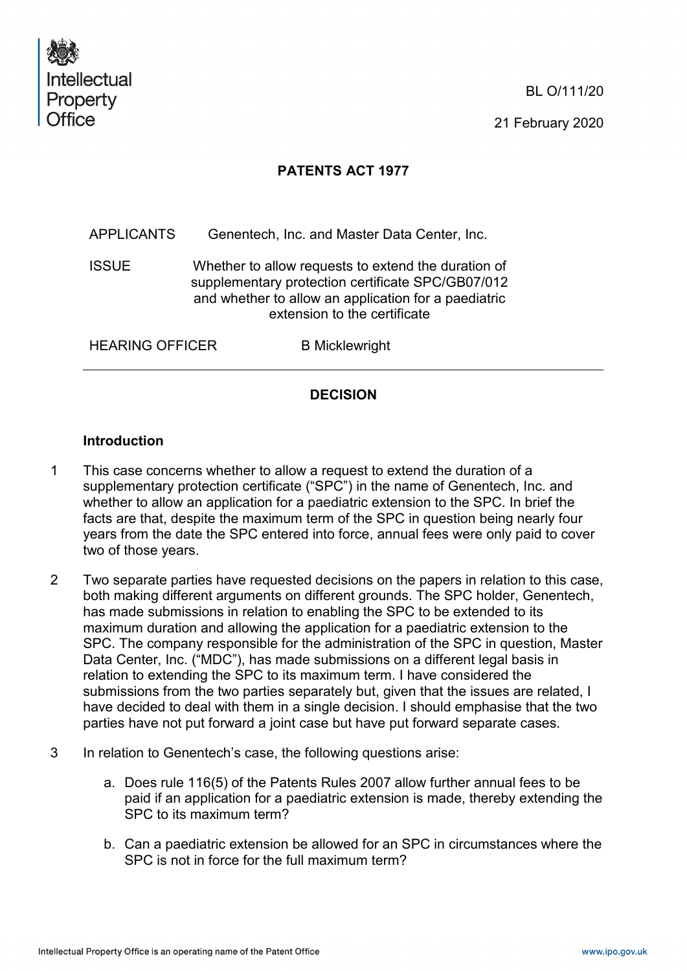

BL O/111/20

21 February 2020

# **PATENTS ACT 1977**

APPLICANTS Genentech, Inc. and Master Data Center, Inc.

ISSUE Whether to allow requests to extend the duration of supplementary protection certificate SPC/GB07/012 and whether to allow an application for a paediatric extension to the certificate

HEARING OFFICER B Micklewright

# **DECISION**

### **Introduction**

- 1 This case concerns whether to allow a request to extend the duration of a supplementary protection certificate ("SPC") in the name of Genentech, Inc. and whether to allow an application for a paediatric extension to the SPC. In brief the facts are that, despite the maximum term of the SPC in question being nearly four years from the date the SPC entered into force, annual fees were only paid to cover two of those years.
- 2 Two separate parties have requested decisions on the papers in relation to this case, both making different arguments on different grounds. The SPC holder, Genentech, has made submissions in relation to enabling the SPC to be extended to its maximum duration and allowing the application for a paediatric extension to the SPC. The company responsible for the administration of the SPC in question, Master Data Center, Inc. ("MDC"), has made submissions on a different legal basis in relation to extending the SPC to its maximum term. I have considered the submissions from the two parties separately but, given that the issues are related, I have decided to deal with them in a single decision. I should emphasise that the two parties have not put forward a joint case but have put forward separate cases.
- 3 In relation to Genentech's case, the following questions arise:
	- a. Does rule 116(5) of the Patents Rules 2007 allow further annual fees to be paid if an application for a paediatric extension is made, thereby extending the SPC to its maximum term?
	- b. Can a paediatric extension be allowed for an SPC in circumstances where the SPC is not in force for the full maximum term?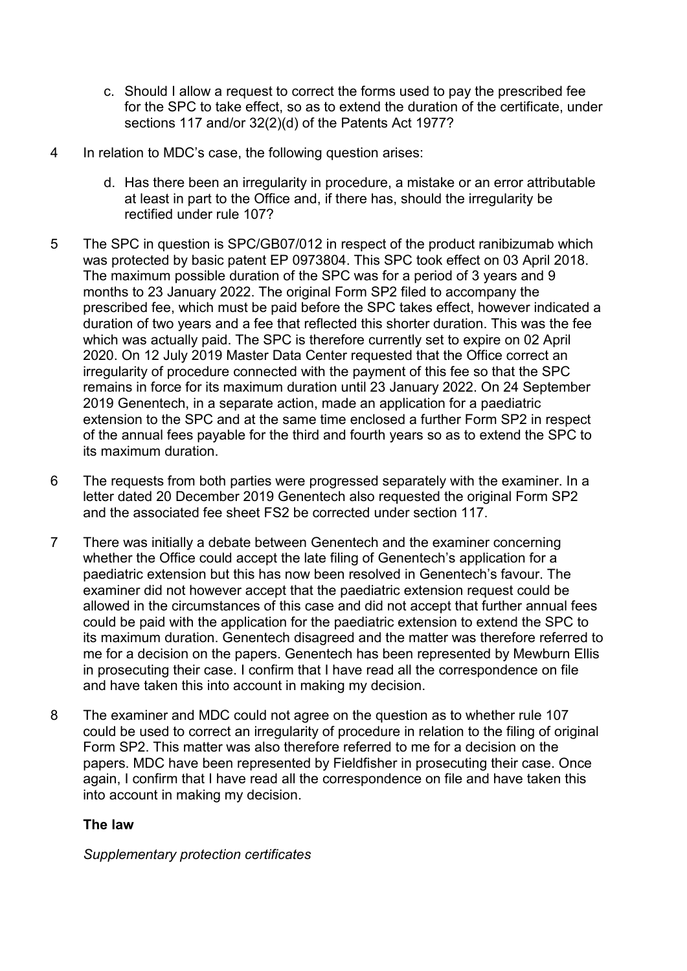- c. Should I allow a request to correct the forms used to pay the prescribed fee for the SPC to take effect, so as to extend the duration of the certificate, under sections 117 and/or 32(2)(d) of the Patents Act 1977?
- 4 In relation to MDC's case, the following question arises:
	- d. Has there been an irregularity in procedure, a mistake or an error attributable at least in part to the Office and, if there has, should the irregularity be rectified under rule 107?
- 5 The SPC in question is SPC/GB07/012 in respect of the product ranibizumab which was protected by basic patent EP 0973804. This SPC took effect on 03 April 2018. The maximum possible duration of the SPC was for a period of 3 years and 9 months to 23 January 2022. The original Form SP2 filed to accompany the prescribed fee, which must be paid before the SPC takes effect, however indicated a duration of two years and a fee that reflected this shorter duration. This was the fee which was actually paid. The SPC is therefore currently set to expire on 02 April 2020. On 12 July 2019 Master Data Center requested that the Office correct an irregularity of procedure connected with the payment of this fee so that the SPC remains in force for its maximum duration until 23 January 2022. On 24 September 2019 Genentech, in a separate action, made an application for a paediatric extension to the SPC and at the same time enclosed a further Form SP2 in respect of the annual fees payable for the third and fourth years so as to extend the SPC to its maximum duration.
- 6 The requests from both parties were progressed separately with the examiner. In a letter dated 20 December 2019 Genentech also requested the original Form SP2 and the associated fee sheet FS2 be corrected under section 117.
- 7 There was initially a debate between Genentech and the examiner concerning whether the Office could accept the late filing of Genentech's application for a paediatric extension but this has now been resolved in Genentech's favour. The examiner did not however accept that the paediatric extension request could be allowed in the circumstances of this case and did not accept that further annual fees could be paid with the application for the paediatric extension to extend the SPC to its maximum duration. Genentech disagreed and the matter was therefore referred to me for a decision on the papers. Genentech has been represented by Mewburn Ellis in prosecuting their case. I confirm that I have read all the correspondence on file and have taken this into account in making my decision.
- 8 The examiner and MDC could not agree on the question as to whether rule 107 could be used to correct an irregularity of procedure in relation to the filing of original Form SP2. This matter was also therefore referred to me for a decision on the papers. MDC have been represented by Fieldfisher in prosecuting their case. Once again, I confirm that I have read all the correspondence on file and have taken this into account in making my decision.

# **The law**

*Supplementary protection certificates*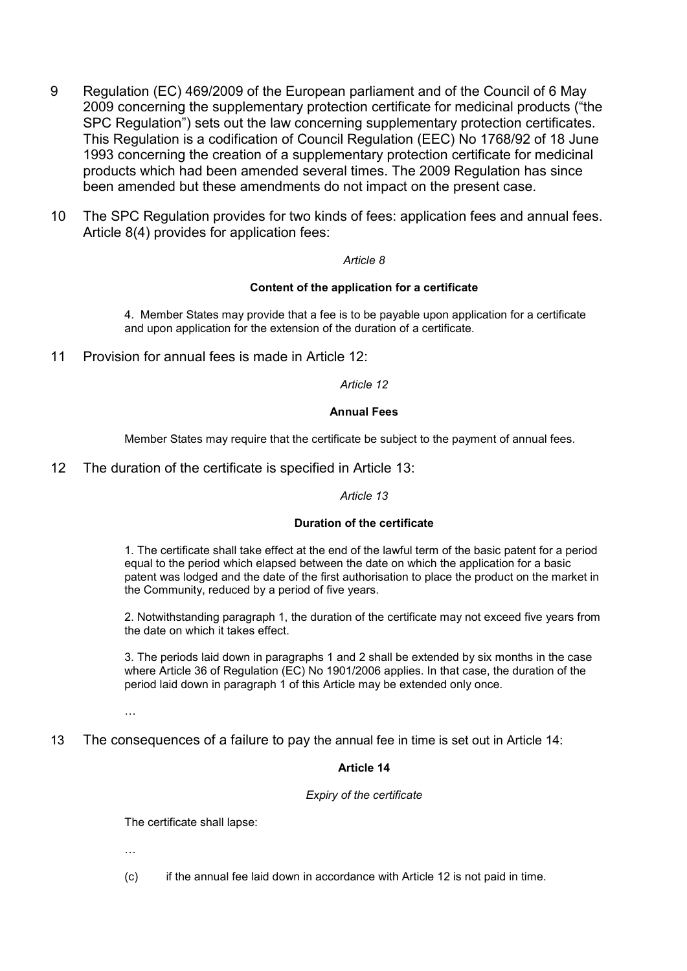- 9 Regulation (EC) 469/2009 of the European parliament and of the Council of 6 May 2009 concerning the supplementary protection certificate for medicinal products ("the SPC Regulation") sets out the law concerning supplementary protection certificates. This Regulation is a codification of Council Regulation (EEC) No 1768/92 of 18 June 1993 concerning the creation of a supplementary protection certificate for medicinal products which had been amended several times. The 2009 Regulation has since been amended but these amendments do not impact on the present case.
- 10 The SPC Regulation provides for two kinds of fees: application fees and annual fees. Article 8(4) provides for application fees:

#### *Article 8*

#### **Content of the application for a certificate**

4. Member States may provide that a fee is to be payable upon application for a certificate and upon application for the extension of the duration of a certificate.

11 Provision for annual fees is made in Article 12:

*Article 12*

#### **Annual Fees**

Member States may require that the certificate be subject to the payment of annual fees.

12 The duration of the certificate is specified in Article 13:

*Article 13*

### **Duration of the certificate**

1. The certificate shall take effect at the end of the lawful term of the basic patent for a period equal to the period which elapsed between the date on which the application for a basic patent was lodged and the date of the first authorisation to place the product on the market in the Community, reduced by a period of five years.

2. Notwithstanding paragraph 1, the duration of the certificate may not exceed five years from the date on which it takes effect.

3. The periods laid down in paragraphs 1 and 2 shall be extended by six months in the case where Article 36 of Regulation (EC) No 1901/2006 applies. In that case, the duration of the period laid down in paragraph 1 of this Article may be extended only once.

…

13 The consequences of a failure to pay the annual fee in time is set out in Article 14:

### **Article 14**

#### *Expiry of the certificate*

The certificate shall lapse:

…

(c) if the annual fee laid down in accordance with Article 12 is not paid in time.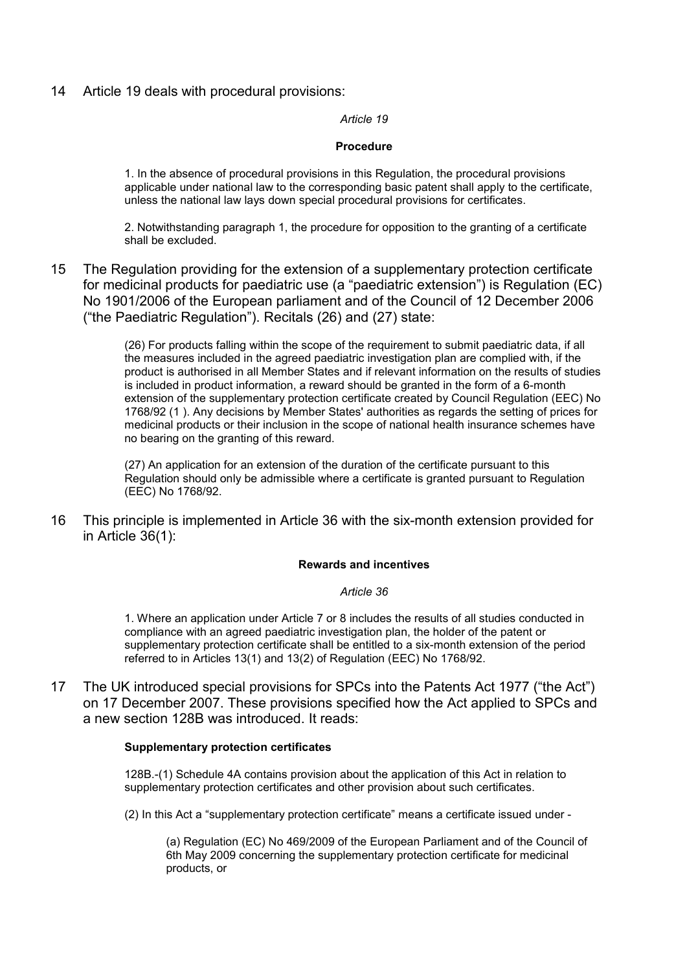14 Article 19 deals with procedural provisions:

*Article 19*

### **Procedure**

1. In the absence of procedural provisions in this Regulation, the procedural provisions applicable under national law to the corresponding basic patent shall apply to the certificate, unless the national law lays down special procedural provisions for certificates.

2. Notwithstanding paragraph 1, the procedure for opposition to the granting of a certificate shall be excluded.

15 The Regulation providing for the extension of a supplementary protection certificate for medicinal products for paediatric use (a "paediatric extension") is Regulation (EC) No 1901/2006 of the European parliament and of the Council of 12 December 2006 ("the Paediatric Regulation"). Recitals (26) and (27) state:

> (26) For products falling within the scope of the requirement to submit paediatric data, if all the measures included in the agreed paediatric investigation plan are complied with, if the product is authorised in all Member States and if relevant information on the results of studies is included in product information, a reward should be granted in the form of a 6-month extension of the supplementary protection certificate created by Council Regulation (EEC) No 1768/92 (1 ). Any decisions by Member States' authorities as regards the setting of prices for medicinal products or their inclusion in the scope of national health insurance schemes have no bearing on the granting of this reward.

(27) An application for an extension of the duration of the certificate pursuant to this Regulation should only be admissible where a certificate is granted pursuant to Regulation (EEC) No 1768/92.

16 This principle is implemented in Article 36 with the six-month extension provided for in Article 36(1):

### **Rewards and incentives**

#### *Article 36*

1. Where an application under Article 7 or 8 includes the results of all studies conducted in compliance with an agreed paediatric investigation plan, the holder of the patent or supplementary protection certificate shall be entitled to a six-month extension of the period referred to in Articles 13(1) and 13(2) of Regulation (EEC) No 1768/92.

17 The UK introduced special provisions for SPCs into the Patents Act 1977 ("the Act") on 17 December 2007. These provisions specified how the Act applied to SPCs and a new section 128B was introduced. It reads:

### **Supplementary protection certificates**

128B.-(1) Schedule 4A contains provision about the application of this Act in relation to supplementary protection certificates and other provision about such certificates.

(2) In this Act a "supplementary protection certificate" means a certificate issued under -

(a) Regulation (EC) No 469/2009 of the European Parliament and of the Council of 6th May 2009 concerning the supplementary protection certificate for medicinal products, or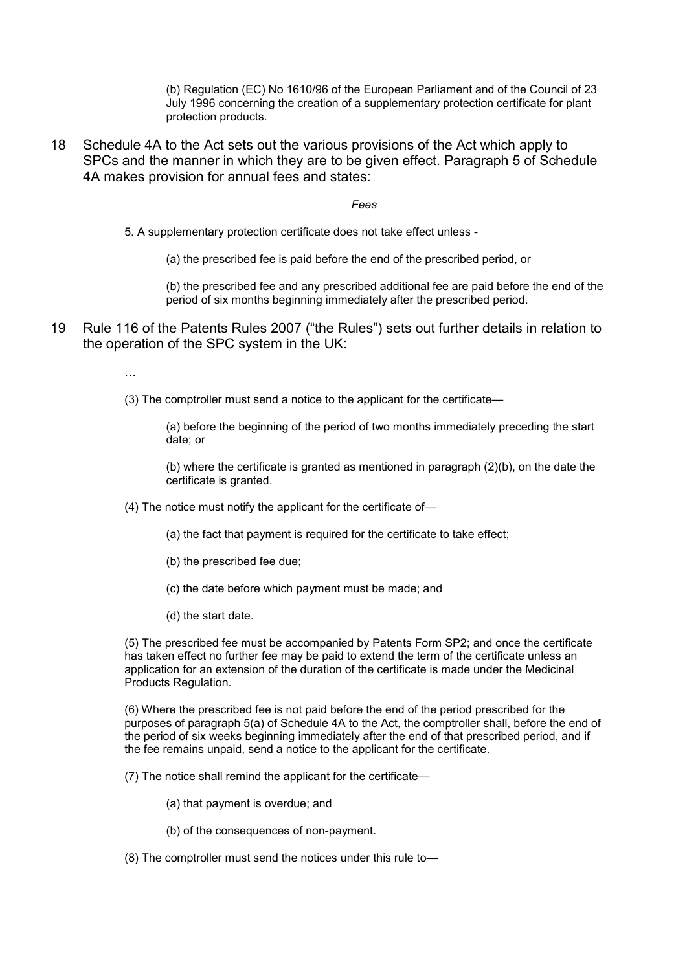(b) Regulation (EC) No 1610/96 of the European Parliament and of the Council of 23 July 1996 concerning the creation of a supplementary protection certificate for plant protection products.

18 Schedule 4A to the Act sets out the various provisions of the Act which apply to SPCs and the manner in which they are to be given effect. Paragraph 5 of Schedule 4A makes provision for annual fees and states:

*Fees*

5. A supplementary protection certificate does not take effect unless -

(a) the prescribed fee is paid before the end of the prescribed period, or

(b) the prescribed fee and any prescribed additional fee are paid before the end of the period of six months beginning immediately after the prescribed period.

19 Rule 116 of the Patents Rules 2007 ("the Rules") sets out further details in relation to the operation of the SPC system in the UK:

…

(3) The comptroller must send a notice to the applicant for the certificate—

(a) before the beginning of the period of two months immediately preceding the start date; or

(b) where the certificate is granted as mentioned in paragraph (2)(b), on the date the certificate is granted.

- (4) The notice must notify the applicant for the certificate of—
	- (a) the fact that payment is required for the certificate to take effect;
	- (b) the prescribed fee due;
	- (c) the date before which payment must be made; and
	- (d) the start date.

(5) The prescribed fee must be accompanied by Patents Form SP2; and once the certificate has taken effect no further fee may be paid to extend the term of the certificate unless an application for an extension of the duration of the certificate is made under the Medicinal Products Regulation.

(6) Where the prescribed fee is not paid before the end of the period prescribed for the purposes of paragraph 5(a) of Schedule 4A to the Act, the comptroller shall, before the end of the period of six weeks beginning immediately after the end of that prescribed period, and if the fee remains unpaid, send a notice to the applicant for the certificate.

(7) The notice shall remind the applicant for the certificate—

(a) that payment is overdue; and

- (b) of the consequences of non-payment.
- (8) The comptroller must send the notices under this rule to—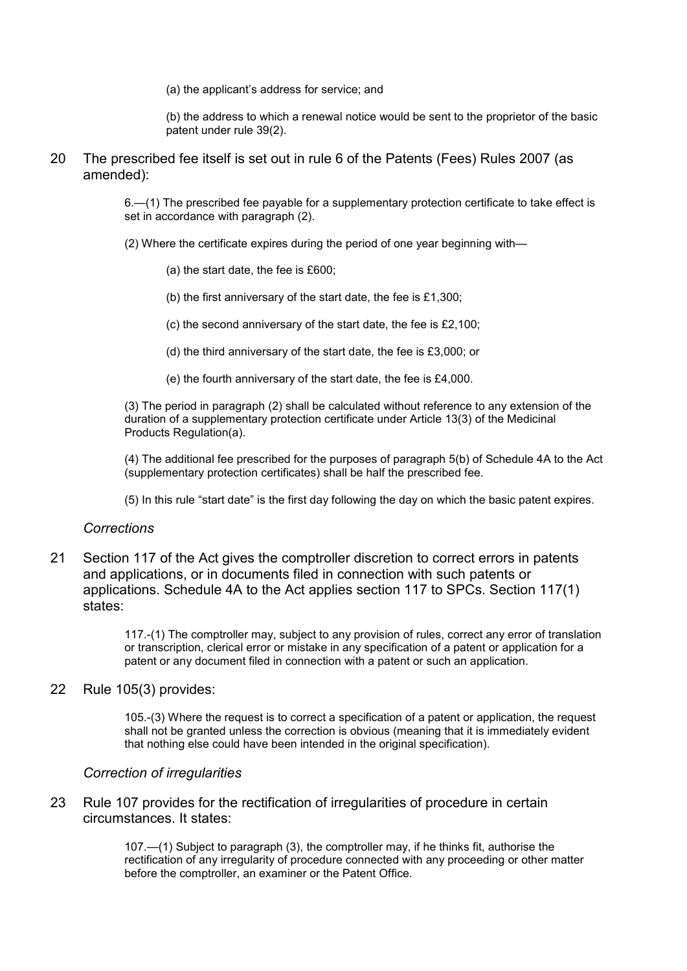(a) the applicant's address for service; and

(b) the address to which a renewal notice would be sent to the proprietor of the basic patent under rule 39(2).

20 The prescribed fee itself is set out in rule 6 of the Patents (Fees) Rules 2007 (as amended):

> 6.—(1) The prescribed fee payable for a supplementary protection certificate to take effect is set in accordance with paragraph (2).

- (2) Where the certificate expires during the period of one year beginning with—
	- (a) the start date, the fee is £600;
	- (b) the first anniversary of the start date, the fee is £1,300;
	- (c) the second anniversary of the start date, the fee is £2,100;
	- (d) the third anniversary of the start date, the fee is £3,000; or
	- (e) the fourth anniversary of the start date, the fee is £4,000.

(3) The period in paragraph (2) shall be calculated without reference to any extension of the duration of a supplementary protection certificate under Article 13(3) of the Medicinal Products Regulation(a).

(4) The additional fee prescribed for the purposes of paragraph 5(b) of Schedule 4A to the Act (supplementary protection certificates) shall be half the prescribed fee.

(5) In this rule "start date" is the first day following the day on which the basic patent expires.

### *Corrections*

21 Section 117 of the Act gives the comptroller discretion to correct errors in patents and applications, or in documents filed in connection with such patents or applications. Schedule 4A to the Act applies section 117 to SPCs. Section 117(1) states:

> 117.-(1) The comptroller may, subject to any provision of rules, correct any error of translation or transcription, clerical error or mistake in any specification of a patent or application for a patent or any document filed in connection with a patent or such an application.

22 Rule 105(3) provides:

105.-(3) Where the request is to correct a specification of a patent or application, the request shall not be granted unless the correction is obvious (meaning that it is immediately evident that nothing else could have been intended in the original specification).

### *Correction of irregularities*

23 Rule 107 provides for the rectification of irregularities of procedure in certain circumstances. It states:

> 107.—(1) Subject to paragraph (3), the comptroller may, if he thinks fit, authorise the rectification of any irregularity of procedure connected with any proceeding or other matter before the comptroller, an examiner or the Patent Office.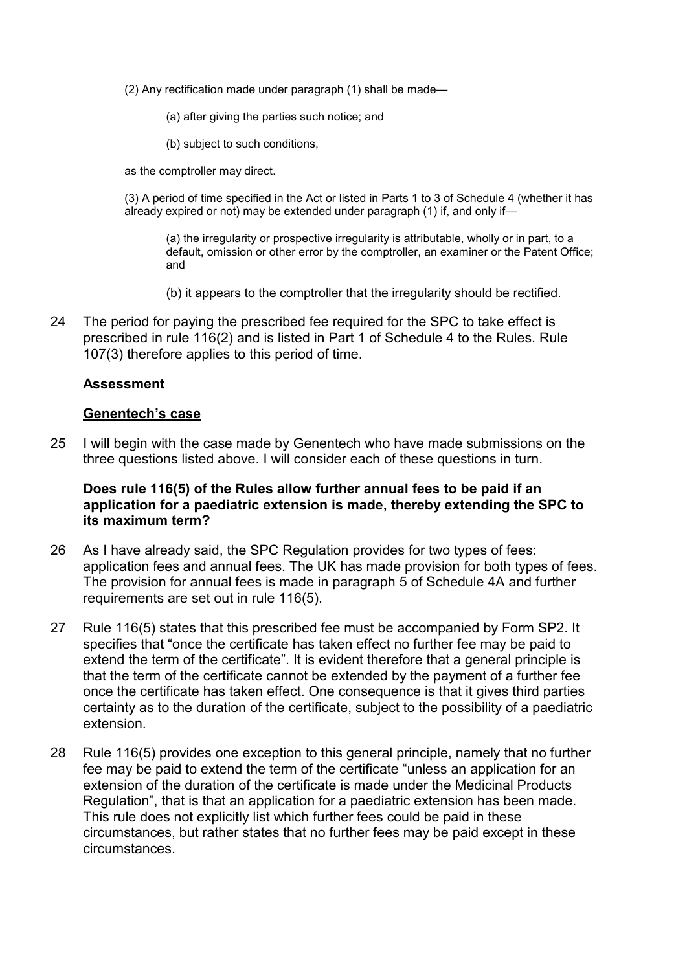- (2) Any rectification made under paragraph (1) shall be made—
	- (a) after giving the parties such notice; and
	- (b) subject to such conditions,

as the comptroller may direct.

(3) A period of time specified in the Act or listed in Parts 1 to 3 of Schedule 4 (whether it has already expired or not) may be extended under paragraph (1) if, and only if—

(a) the irregularity or prospective irregularity is attributable, wholly or in part, to a default, omission or other error by the comptroller, an examiner or the Patent Office; and

- (b) it appears to the comptroller that the irregularity should be rectified.
- 24 The period for paying the prescribed fee required for the SPC to take effect is prescribed in rule 116(2) and is listed in Part 1 of Schedule 4 to the Rules. Rule 107(3) therefore applies to this period of time.

### **Assessment**

### **Genentech's case**

25 I will begin with the case made by Genentech who have made submissions on the three questions listed above. I will consider each of these questions in turn.

### **Does rule 116(5) of the Rules allow further annual fees to be paid if an application for a paediatric extension is made, thereby extending the SPC to its maximum term?**

- 26 As I have already said, the SPC Regulation provides for two types of fees: application fees and annual fees. The UK has made provision for both types of fees. The provision for annual fees is made in paragraph 5 of Schedule 4A and further requirements are set out in rule 116(5).
- 27 Rule 116(5) states that this prescribed fee must be accompanied by Form SP2. It specifies that "once the certificate has taken effect no further fee may be paid to extend the term of the certificate". It is evident therefore that a general principle is that the term of the certificate cannot be extended by the payment of a further fee once the certificate has taken effect. One consequence is that it gives third parties certainty as to the duration of the certificate, subject to the possibility of a paediatric extension.
- 28 Rule 116(5) provides one exception to this general principle, namely that no further fee may be paid to extend the term of the certificate "unless an application for an extension of the duration of the certificate is made under the Medicinal Products Regulation", that is that an application for a paediatric extension has been made. This rule does not explicitly list which further fees could be paid in these circumstances, but rather states that no further fees may be paid except in these circumstances.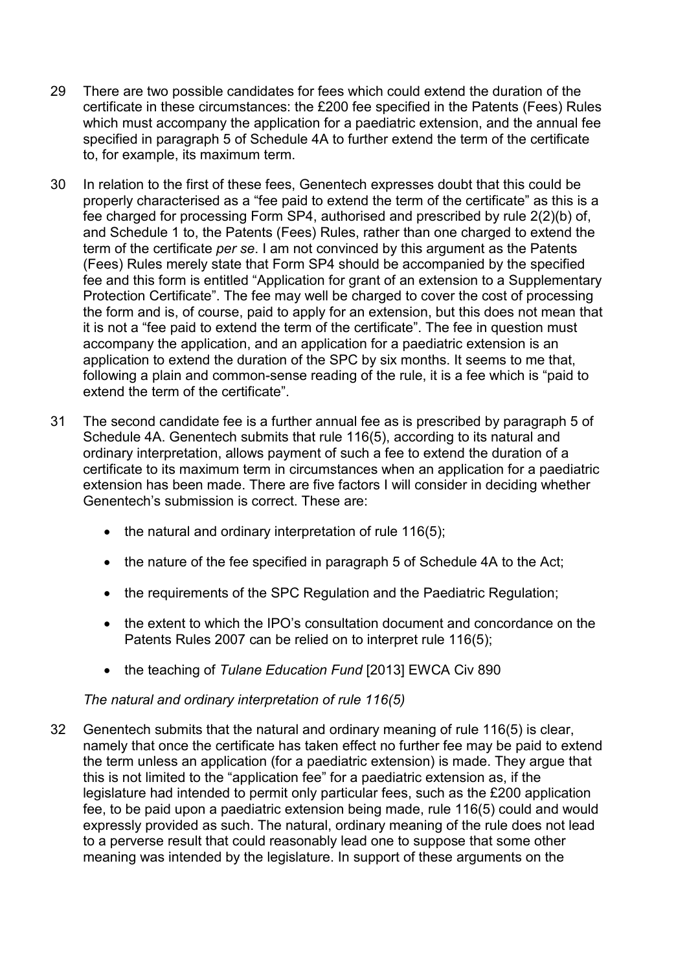- 29 There are two possible candidates for fees which could extend the duration of the certificate in these circumstances: the £200 fee specified in the Patents (Fees) Rules which must accompany the application for a paediatric extension, and the annual fee specified in paragraph 5 of Schedule 4A to further extend the term of the certificate to, for example, its maximum term.
- 30 In relation to the first of these fees, Genentech expresses doubt that this could be properly characterised as a "fee paid to extend the term of the certificate" as this is a fee charged for processing Form SP4, authorised and prescribed by rule 2(2)(b) of, and Schedule 1 to, the Patents (Fees) Rules, rather than one charged to extend the term of the certificate *per se*. I am not convinced by this argument as the Patents (Fees) Rules merely state that Form SP4 should be accompanied by the specified fee and this form is entitled "Application for grant of an extension to a Supplementary Protection Certificate". The fee may well be charged to cover the cost of processing the form and is, of course, paid to apply for an extension, but this does not mean that it is not a "fee paid to extend the term of the certificate". The fee in question must accompany the application, and an application for a paediatric extension is an application to extend the duration of the SPC by six months. It seems to me that, following a plain and common-sense reading of the rule, it is a fee which is "paid to extend the term of the certificate".
- 31 The second candidate fee is a further annual fee as is prescribed by paragraph 5 of Schedule 4A. Genentech submits that rule 116(5), according to its natural and ordinary interpretation, allows payment of such a fee to extend the duration of a certificate to its maximum term in circumstances when an application for a paediatric extension has been made. There are five factors I will consider in deciding whether Genentech's submission is correct. These are:
	- the natural and ordinary interpretation of rule 116(5);
	- the nature of the fee specified in paragraph 5 of Schedule 4A to the Act;
	- the requirements of the SPC Regulation and the Paediatric Regulation;
	- the extent to which the IPO's consultation document and concordance on the Patents Rules 2007 can be relied on to interpret rule 116(5);
	- the teaching of *Tulane Education Fund* [2013] EWCA Civ 890

# *The natural and ordinary interpretation of rule 116(5)*

32 Genentech submits that the natural and ordinary meaning of rule 116(5) is clear, namely that once the certificate has taken effect no further fee may be paid to extend the term unless an application (for a paediatric extension) is made. They argue that this is not limited to the "application fee" for a paediatric extension as, if the legislature had intended to permit only particular fees, such as the £200 application fee, to be paid upon a paediatric extension being made, rule 116(5) could and would expressly provided as such. The natural, ordinary meaning of the rule does not lead to a perverse result that could reasonably lead one to suppose that some other meaning was intended by the legislature. In support of these arguments on the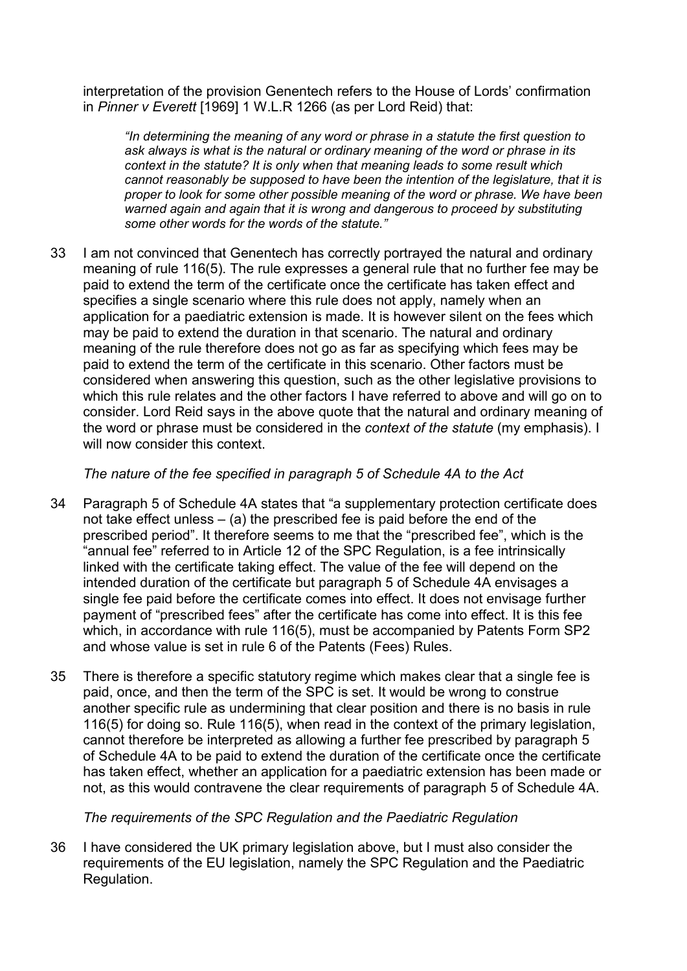interpretation of the provision Genentech refers to the House of Lords' confirmation in *Pinner v Everett* [1969] 1 W.L.R 1266 (as per Lord Reid) that:

*"In determining the meaning of any word or phrase in a statute the first question to ask always is what is the natural or ordinary meaning of the word or phrase in its context in the statute? It is only when that meaning leads to some result which cannot reasonably be supposed to have been the intention of the legislature, that it is proper to look for some other possible meaning of the word or phrase. We have been warned again and again that it is wrong and dangerous to proceed by substituting some other words for the words of the statute."*

33 I am not convinced that Genentech has correctly portrayed the natural and ordinary meaning of rule 116(5). The rule expresses a general rule that no further fee may be paid to extend the term of the certificate once the certificate has taken effect and specifies a single scenario where this rule does not apply, namely when an application for a paediatric extension is made. It is however silent on the fees which may be paid to extend the duration in that scenario. The natural and ordinary meaning of the rule therefore does not go as far as specifying which fees may be paid to extend the term of the certificate in this scenario. Other factors must be considered when answering this question, such as the other legislative provisions to which this rule relates and the other factors I have referred to above and will go on to consider. Lord Reid says in the above quote that the natural and ordinary meaning of the word or phrase must be considered in the *context of the statute* (my emphasis). I will now consider this context.

# *The nature of the fee specified in paragraph 5 of Schedule 4A to the Act*

- 34 Paragraph 5 of Schedule 4A states that "a supplementary protection certificate does not take effect unless  $-$  (a) the prescribed fee is paid before the end of the prescribed period". It therefore seems to me that the "prescribed fee", which is the "annual fee" referred to in Article 12 of the SPC Regulation, is a fee intrinsically linked with the certificate taking effect. The value of the fee will depend on the intended duration of the certificate but paragraph 5 of Schedule 4A envisages a single fee paid before the certificate comes into effect. It does not envisage further payment of "prescribed fees" after the certificate has come into effect. It is this fee which, in accordance with rule 116(5), must be accompanied by Patents Form SP2 and whose value is set in rule 6 of the Patents (Fees) Rules.
- 35 There is therefore a specific statutory regime which makes clear that a single fee is paid, once, and then the term of the SPC is set. It would be wrong to construe another specific rule as undermining that clear position and there is no basis in rule 116(5) for doing so. Rule 116(5), when read in the context of the primary legislation, cannot therefore be interpreted as allowing a further fee prescribed by paragraph 5 of Schedule 4A to be paid to extend the duration of the certificate once the certificate has taken effect, whether an application for a paediatric extension has been made or not, as this would contravene the clear requirements of paragraph 5 of Schedule 4A.

# *The requirements of the SPC Regulation and the Paediatric Regulation*

36 I have considered the UK primary legislation above, but I must also consider the requirements of the EU legislation, namely the SPC Regulation and the Paediatric Regulation.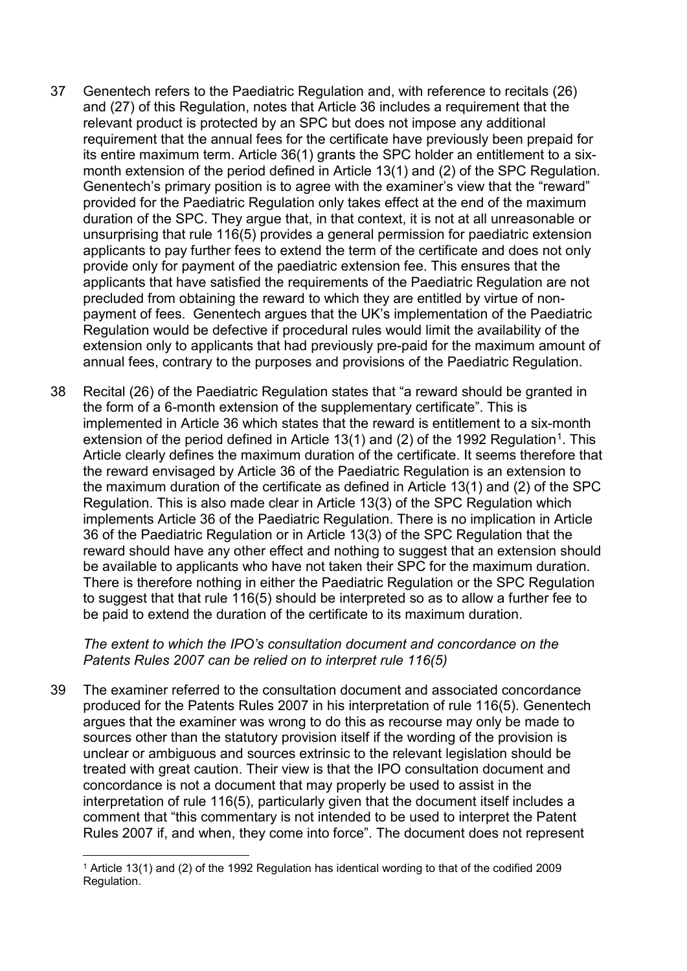- 37 Genentech refers to the Paediatric Regulation and, with reference to recitals (26) and (27) of this Regulation, notes that Article 36 includes a requirement that the relevant product is protected by an SPC but does not impose any additional requirement that the annual fees for the certificate have previously been prepaid for its entire maximum term. Article 36(1) grants the SPC holder an entitlement to a sixmonth extension of the period defined in Article 13(1) and (2) of the SPC Regulation. Genentech's primary position is to agree with the examiner's view that the "reward" provided for the Paediatric Regulation only takes effect at the end of the maximum duration of the SPC. They argue that, in that context, it is not at all unreasonable or unsurprising that rule 116(5) provides a general permission for paediatric extension applicants to pay further fees to extend the term of the certificate and does not only provide only for payment of the paediatric extension fee. This ensures that the applicants that have satisfied the requirements of the Paediatric Regulation are not precluded from obtaining the reward to which they are entitled by virtue of nonpayment of fees. Genentech argues that the UK's implementation of the Paediatric Regulation would be defective if procedural rules would limit the availability of the extension only to applicants that had previously pre-paid for the maximum amount of annual fees, contrary to the purposes and provisions of the Paediatric Regulation.
- 38 Recital (26) of the Paediatric Regulation states that "a reward should be granted in the form of a 6-month extension of the supplementary certificate". This is implemented in Article 36 which states that the reward is entitlement to a six-month extension of the period defined in Article [1](#page-9-0)3(1) and (2) of the 1992 Regulation<sup>1</sup>. This Article clearly defines the maximum duration of the certificate. It seems therefore that the reward envisaged by Article 36 of the Paediatric Regulation is an extension to the maximum duration of the certificate as defined in Article 13(1) and (2) of the SPC Regulation. This is also made clear in Article 13(3) of the SPC Regulation which implements Article 36 of the Paediatric Regulation. There is no implication in Article 36 of the Paediatric Regulation or in Article 13(3) of the SPC Regulation that the reward should have any other effect and nothing to suggest that an extension should be available to applicants who have not taken their SPC for the maximum duration. There is therefore nothing in either the Paediatric Regulation or the SPC Regulation to suggest that that rule 116(5) should be interpreted so as to allow a further fee to be paid to extend the duration of the certificate to its maximum duration.

### *The extent to which the IPO's consultation document and concordance on the Patents Rules 2007 can be relied on to interpret rule 116(5)*

39 The examiner referred to the consultation document and associated concordance produced for the Patents Rules 2007 in his interpretation of rule 116(5). Genentech argues that the examiner was wrong to do this as recourse may only be made to sources other than the statutory provision itself if the wording of the provision is unclear or ambiguous and sources extrinsic to the relevant legislation should be treated with great caution. Their view is that the IPO consultation document and concordance is not a document that may properly be used to assist in the interpretation of rule 116(5), particularly given that the document itself includes a comment that "this commentary is not intended to be used to interpret the Patent Rules 2007 if, and when, they come into force". The document does not represent

<span id="page-9-0"></span> <sup>1</sup> Article 13(1) and (2) of the 1992 Regulation has identical wording to that of the codified 2009 Regulation.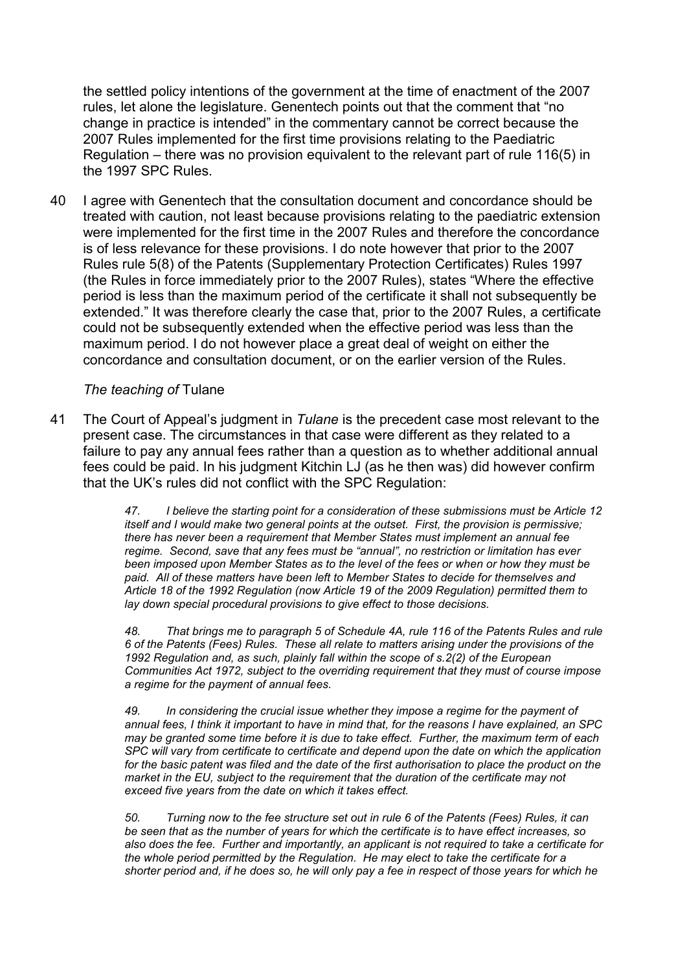the settled policy intentions of the government at the time of enactment of the 2007 rules, let alone the legislature. Genentech points out that the comment that "no change in practice is intended" in the commentary cannot be correct because the 2007 Rules implemented for the first time provisions relating to the Paediatric Regulation – there was no provision equivalent to the relevant part of rule 116(5) in the 1997 SPC Rules.

40 I agree with Genentech that the consultation document and concordance should be treated with caution, not least because provisions relating to the paediatric extension were implemented for the first time in the 2007 Rules and therefore the concordance is of less relevance for these provisions. I do note however that prior to the 2007 Rules rule 5(8) of the Patents (Supplementary Protection Certificates) Rules 1997 (the Rules in force immediately prior to the 2007 Rules), states "Where the effective period is less than the maximum period of the certificate it shall not subsequently be extended." It was therefore clearly the case that, prior to the 2007 Rules, a certificate could not be subsequently extended when the effective period was less than the maximum period. I do not however place a great deal of weight on either the concordance and consultation document, or on the earlier version of the Rules.

### *The teaching of* Tulane

41 The Court of Appeal's judgment in *Tulane* is the precedent case most relevant to the present case. The circumstances in that case were different as they related to a failure to pay any annual fees rather than a question as to whether additional annual fees could be paid. In his judgment Kitchin LJ (as he then was) did however confirm that the UK's rules did not conflict with the SPC Regulation:

> *47. I believe the starting point for a consideration of these submissions must be Article 12 itself and I would make two general points at the outset. First, the provision is permissive; there has never been a requirement that Member States must implement an annual fee regime. Second, save that any fees must be "annual", no restriction or limitation has ever been imposed upon Member States as to the level of the fees or when or how they must be paid. All of these matters have been left to Member States to decide for themselves and Article 18 of the 1992 Regulation (now Article 19 of the 2009 Regulation) permitted them to lay down special procedural provisions to give effect to those decisions.*

> *48. That brings me to paragraph 5 of Schedule 4A, rule 116 of the Patents Rules and rule 6 of the Patents (Fees) Rules. These all relate to matters arising under the provisions of the 1992 Regulation and, as such, plainly fall within the scope of s.2(2) of the European Communities Act 1972, subject to the overriding requirement that they must of course impose a regime for the payment of annual fees.*

> *49. In considering the crucial issue whether they impose a regime for the payment of annual fees, I think it important to have in mind that, for the reasons I have explained, an SPC may be granted some time before it is due to take effect. Further, the maximum term of each SPC will vary from certificate to certificate and depend upon the date on which the application*  for the basic patent was filed and the date of the first authorisation to place the product on the *market in the EU, subject to the requirement that the duration of the certificate may not exceed five years from the date on which it takes effect.*

> *50. Turning now to the fee structure set out in rule 6 of the Patents (Fees) Rules, it can be seen that as the number of years for which the certificate is to have effect increases, so also does the fee. Further and importantly, an applicant is not required to take a certificate for the whole period permitted by the Regulation. He may elect to take the certificate for a shorter period and, if he does so, he will only pay a fee in respect of those years for which he*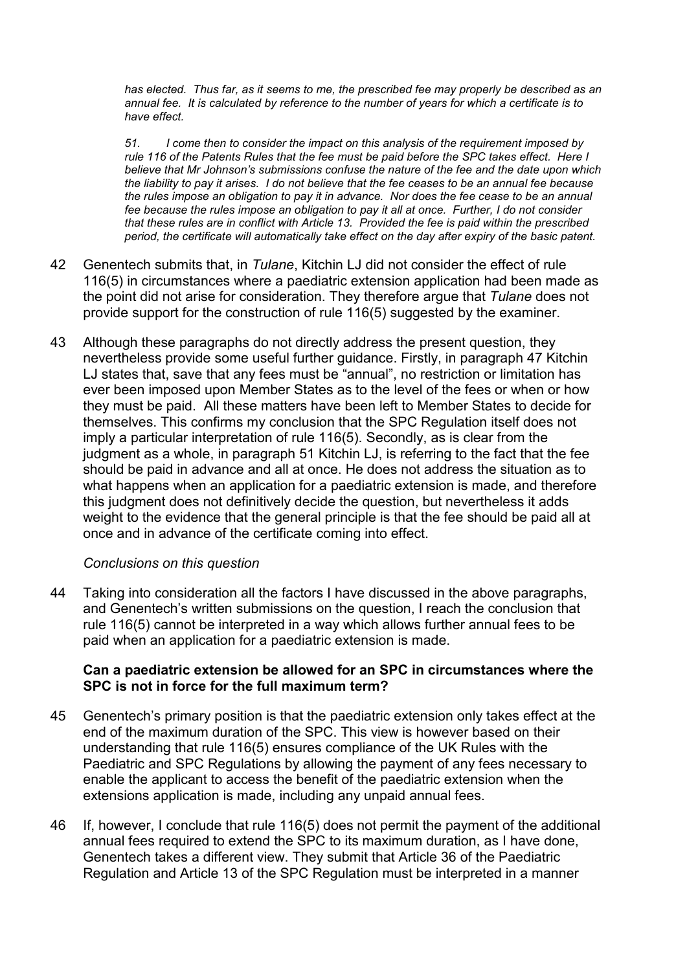*has elected. Thus far, as it seems to me, the prescribed fee may properly be described as an annual fee. It is calculated by reference to the number of years for which a certificate is to have effect.* 

*51. I come then to consider the impact on this analysis of the requirement imposed by rule 116 of the Patents Rules that the fee must be paid before the SPC takes effect. Here I believe that Mr Johnson's submissions confuse the nature of the fee and the date upon which the liability to pay it arises. I do not believe that the fee ceases to be an annual fee because the rules impose an obligation to pay it in advance. Nor does the fee cease to be an annual fee because the rules impose an obligation to pay it all at once. Further, I do not consider that these rules are in conflict with Article 13. Provided the fee is paid within the prescribed period, the certificate will automatically take effect on the day after expiry of the basic patent.*

- 42 Genentech submits that, in *Tulane*, Kitchin LJ did not consider the effect of rule 116(5) in circumstances where a paediatric extension application had been made as the point did not arise for consideration. They therefore argue that *Tulane* does not provide support for the construction of rule 116(5) suggested by the examiner.
- 43 Although these paragraphs do not directly address the present question, they nevertheless provide some useful further guidance. Firstly, in paragraph 47 Kitchin LJ states that, save that any fees must be "annual", no restriction or limitation has ever been imposed upon Member States as to the level of the fees or when or how they must be paid. All these matters have been left to Member States to decide for themselves. This confirms my conclusion that the SPC Regulation itself does not imply a particular interpretation of rule 116(5). Secondly, as is clear from the judgment as a whole, in paragraph 51 Kitchin LJ, is referring to the fact that the fee should be paid in advance and all at once. He does not address the situation as to what happens when an application for a paediatric extension is made, and therefore this judgment does not definitively decide the question, but nevertheless it adds weight to the evidence that the general principle is that the fee should be paid all at once and in advance of the certificate coming into effect.

# *Conclusions on this question*

44 Taking into consideration all the factors I have discussed in the above paragraphs, and Genentech's written submissions on the question, I reach the conclusion that rule 116(5) cannot be interpreted in a way which allows further annual fees to be paid when an application for a paediatric extension is made.

### **Can a paediatric extension be allowed for an SPC in circumstances where the SPC is not in force for the full maximum term?**

- 45 Genentech's primary position is that the paediatric extension only takes effect at the end of the maximum duration of the SPC. This view is however based on their understanding that rule 116(5) ensures compliance of the UK Rules with the Paediatric and SPC Regulations by allowing the payment of any fees necessary to enable the applicant to access the benefit of the paediatric extension when the extensions application is made, including any unpaid annual fees.
- 46 If, however, I conclude that rule 116(5) does not permit the payment of the additional annual fees required to extend the SPC to its maximum duration, as I have done, Genentech takes a different view. They submit that Article 36 of the Paediatric Regulation and Article 13 of the SPC Regulation must be interpreted in a manner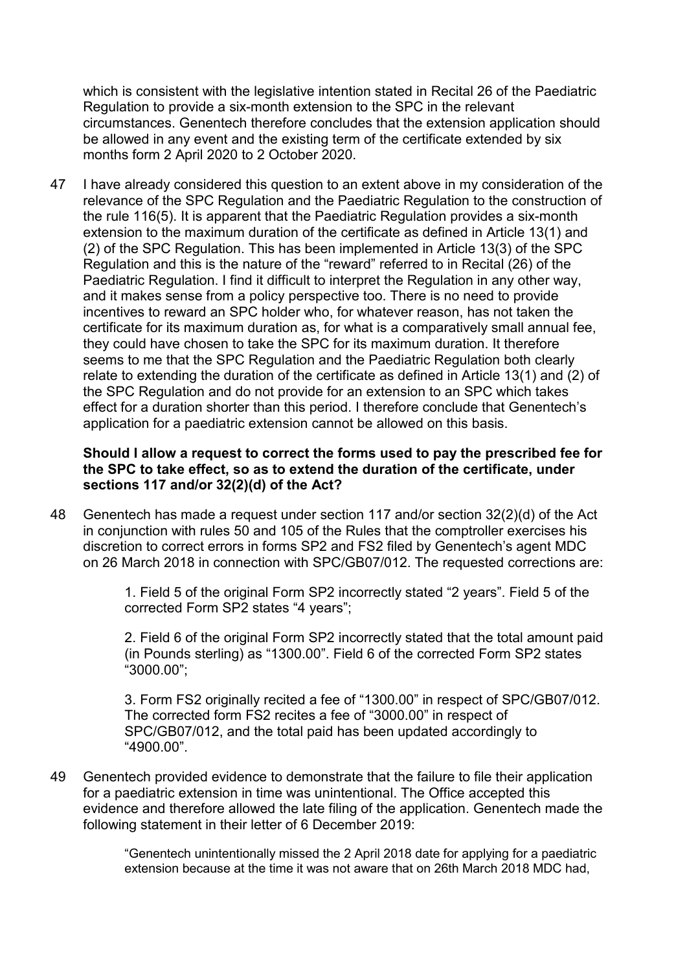which is consistent with the legislative intention stated in Recital 26 of the Paediatric Regulation to provide a six-month extension to the SPC in the relevant circumstances. Genentech therefore concludes that the extension application should be allowed in any event and the existing term of the certificate extended by six months form 2 April 2020 to 2 October 2020.

47 I have already considered this question to an extent above in my consideration of the relevance of the SPC Regulation and the Paediatric Regulation to the construction of the rule 116(5). It is apparent that the Paediatric Regulation provides a six-month extension to the maximum duration of the certificate as defined in Article 13(1) and (2) of the SPC Regulation. This has been implemented in Article 13(3) of the SPC Regulation and this is the nature of the "reward" referred to in Recital (26) of the Paediatric Regulation. I find it difficult to interpret the Regulation in any other way, and it makes sense from a policy perspective too. There is no need to provide incentives to reward an SPC holder who, for whatever reason, has not taken the certificate for its maximum duration as, for what is a comparatively small annual fee, they could have chosen to take the SPC for its maximum duration. It therefore seems to me that the SPC Regulation and the Paediatric Regulation both clearly relate to extending the duration of the certificate as defined in Article 13(1) and (2) of the SPC Regulation and do not provide for an extension to an SPC which takes effect for a duration shorter than this period. I therefore conclude that Genentech's application for a paediatric extension cannot be allowed on this basis.

# **Should I allow a request to correct the forms used to pay the prescribed fee for the SPC to take effect, so as to extend the duration of the certificate, under sections 117 and/or 32(2)(d) of the Act?**

48 Genentech has made a request under section 117 and/or section 32(2)(d) of the Act in conjunction with rules 50 and 105 of the Rules that the comptroller exercises his discretion to correct errors in forms SP2 and FS2 filed by Genentech's agent MDC on 26 March 2018 in connection with SPC/GB07/012. The requested corrections are:

> 1. Field 5 of the original Form SP2 incorrectly stated "2 years". Field 5 of the corrected Form SP2 states "4 years";

2. Field 6 of the original Form SP2 incorrectly stated that the total amount paid (in Pounds sterling) as "1300.00". Field 6 of the corrected Form SP2 states "3000.00";

3. Form FS2 originally recited a fee of "1300.00" in respect of SPC/GB07/012. The corrected form FS2 recites a fee of "3000.00" in respect of SPC/GB07/012, and the total paid has been updated accordingly to "4900.00".

49 Genentech provided evidence to demonstrate that the failure to file their application for a paediatric extension in time was unintentional. The Office accepted this evidence and therefore allowed the late filing of the application. Genentech made the following statement in their letter of 6 December 2019:

> "Genentech unintentionally missed the 2 April 2018 date for applying for a paediatric extension because at the time it was not aware that on 26th March 2018 MDC had,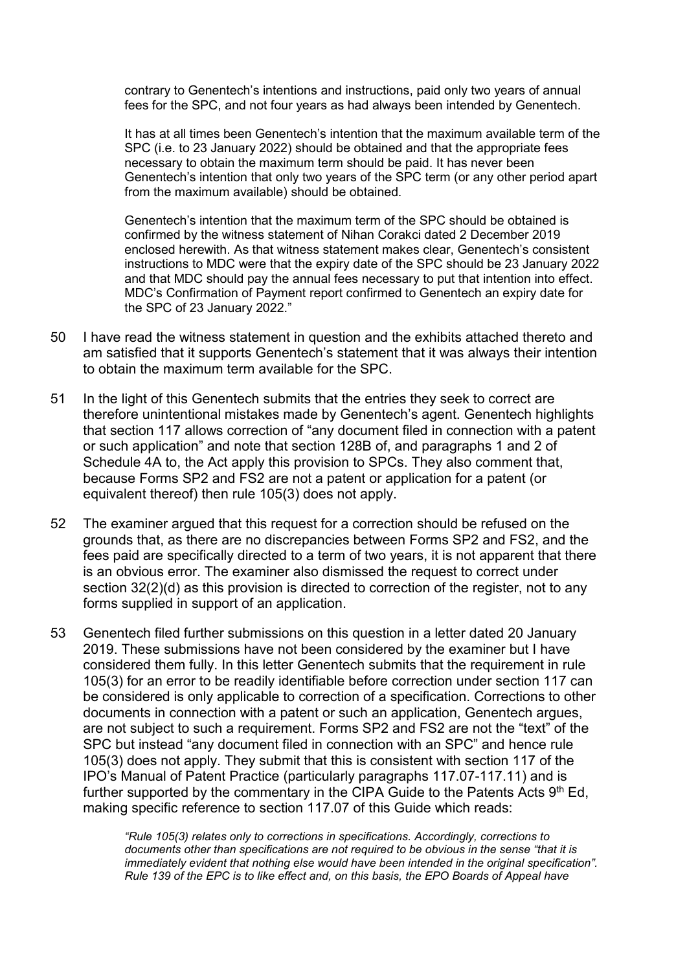contrary to Genentech's intentions and instructions, paid only two years of annual fees for the SPC, and not four years as had always been intended by Genentech.

It has at all times been Genentech's intention that the maximum available term of the SPC (i.e. to 23 January 2022) should be obtained and that the appropriate fees necessary to obtain the maximum term should be paid. It has never been Genentech's intention that only two years of the SPC term (or any other period apart from the maximum available) should be obtained.

Genentech's intention that the maximum term of the SPC should be obtained is confirmed by the witness statement of Nihan Corakci dated 2 December 2019 enclosed herewith. As that witness statement makes clear, Genentech's consistent instructions to MDC were that the expiry date of the SPC should be 23 January 2022 and that MDC should pay the annual fees necessary to put that intention into effect. MDC's Confirmation of Payment report confirmed to Genentech an expiry date for the SPC of 23 January 2022."

- 50 I have read the witness statement in question and the exhibits attached thereto and am satisfied that it supports Genentech's statement that it was always their intention to obtain the maximum term available for the SPC.
- 51 In the light of this Genentech submits that the entries they seek to correct are therefore unintentional mistakes made by Genentech's agent. Genentech highlights that section 117 allows correction of "any document filed in connection with a patent or such application" and note that section 128B of, and paragraphs 1 and 2 of Schedule 4A to, the Act apply this provision to SPCs. They also comment that, because Forms SP2 and FS2 are not a patent or application for a patent (or equivalent thereof) then rule 105(3) does not apply.
- 52 The examiner argued that this request for a correction should be refused on the grounds that, as there are no discrepancies between Forms SP2 and FS2, and the fees paid are specifically directed to a term of two years, it is not apparent that there is an obvious error. The examiner also dismissed the request to correct under section 32(2)(d) as this provision is directed to correction of the register, not to any forms supplied in support of an application.
- 53 Genentech filed further submissions on this question in a letter dated 20 January 2019. These submissions have not been considered by the examiner but I have considered them fully. In this letter Genentech submits that the requirement in rule 105(3) for an error to be readily identifiable before correction under section 117 can be considered is only applicable to correction of a specification. Corrections to other documents in connection with a patent or such an application, Genentech argues, are not subject to such a requirement. Forms SP2 and FS2 are not the "text" of the SPC but instead "any document filed in connection with an SPC" and hence rule 105(3) does not apply. They submit that this is consistent with section 117 of the IPO's Manual of Patent Practice (particularly paragraphs 117.07-117.11) and is further supported by the commentary in the CIPA Guide to the Patents Acts  $9<sup>th</sup>$  Ed, making specific reference to section 117.07 of this Guide which reads:

*"Rule 105(3) relates only to corrections in specifications. Accordingly, corrections to documents other than specifications are not required to be obvious in the sense "that it is immediately evident that nothing else would have been intended in the original specification". Rule 139 of the EPC is to like effect and, on this basis, the EPO Boards of Appeal have*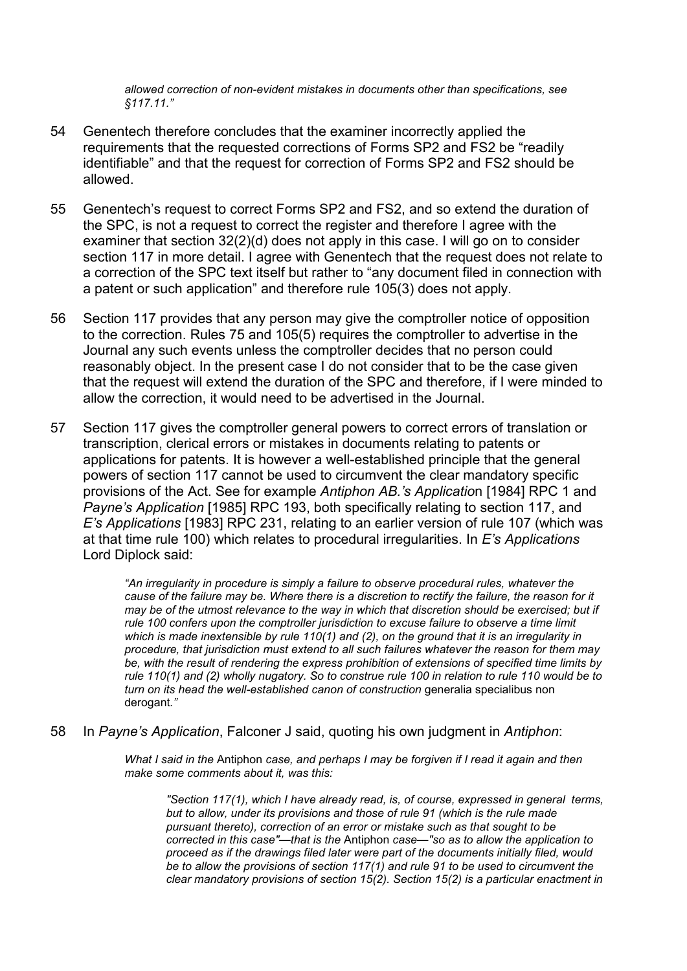*allowed correction of non-evident mistakes in documents other than specifications, see §117.11."*

- 54 Genentech therefore concludes that the examiner incorrectly applied the requirements that the requested corrections of Forms SP2 and FS2 be "readily identifiable" and that the request for correction of Forms SP2 and FS2 should be allowed.
- 55 Genentech's request to correct Forms SP2 and FS2, and so extend the duration of the SPC, is not a request to correct the register and therefore I agree with the examiner that section 32(2)(d) does not apply in this case. I will go on to consider section 117 in more detail. I agree with Genentech that the request does not relate to a correction of the SPC text itself but rather to "any document filed in connection with a patent or such application" and therefore rule 105(3) does not apply.
- 56 Section 117 provides that any person may give the comptroller notice of opposition to the correction. Rules 75 and 105(5) requires the comptroller to advertise in the Journal any such events unless the comptroller decides that no person could reasonably object. In the present case I do not consider that to be the case given that the request will extend the duration of the SPC and therefore, if I were minded to allow the correction, it would need to be advertised in the Journal.
- 57 Section 117 gives the comptroller general powers to correct errors of translation or transcription, clerical errors or mistakes in documents relating to patents or applications for patents. It is however a well-established principle that the general powers of section 117 cannot be used to circumvent the clear mandatory specific provisions of the Act. See for example *Antiphon AB.'s Applicatio*n [1984] RPC 1 and *Payne's Application* [1985] RPC 193, both specifically relating to section 117, and *E's Applications* [1983] RPC 231, relating to an earlier version of rule 107 (which was at that time rule 100) which relates to procedural irregularities. In *E's Applications* Lord Diplock said:

*"An irregularity in procedure is simply a failure to observe procedural rules, whatever the cause of the failure may be. Where there is a discretion to rectify the failure, the reason for it may be of the utmost relevance to the way in which that discretion should be exercised; but if rule 100 confers upon the comptroller jurisdiction to excuse failure to observe a time limit which is made inextensible by rule 110(1) and (2), on the ground that it is an irregularity in procedure, that jurisdiction must extend to all such failures whatever the reason for them may be, with the result of rendering the express prohibition of extensions of specified time limits by rule 110(1) and (2) wholly nugatory. So to construe rule 100 in relation to rule 110 would be to turn on its head the well-established canon of construction* generalia specialibus non derogant*."*

58 In *Payne's Application*, Falconer J said, quoting his own judgment in *Antiphon*:

*What I said in the* Antiphon *case, and perhaps I may be forgiven if I read it again and then make some comments about it, was this:* 

*"Section 117(1), which I have already read, is, of course, expressed in general terms, but to allow, under its provisions and those of rule 91 (which is the rule made pursuant thereto), correction of an error or mistake such as that sought to be corrected in this case"—that is the* Antiphon *case—"so as to allow the application to proceed as if the drawings filed later were part of the documents initially filed, would be to allow the provisions of section 117(1) and rule 91 to be used to circumvent the clear mandatory provisions of section 15(2). Section 15(2) is a particular enactment in*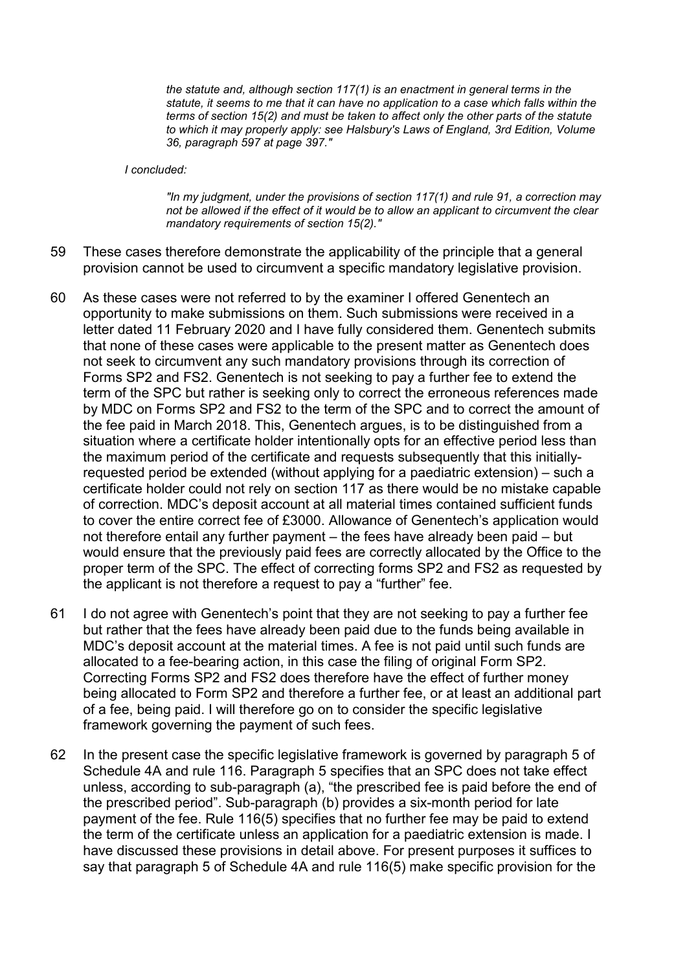*the statute and, although section 117(1) is an enactment in general terms in the statute, it seems to me that it can have no application to a case which falls within the terms of section 15(2) and must be taken to affect only the other parts of the statute to which it may properly apply: see Halsbury's Laws of England, 3rd Edition, Volume 36, paragraph 597 at page 397."*

#### *I concluded:*

*"In my judgment, under the provisions of section 117(1) and rule 91, a correction may not be allowed if the effect of it would be to allow an applicant to circumvent the clear mandatory requirements of section 15(2)."* 

- 59 These cases therefore demonstrate the applicability of the principle that a general provision cannot be used to circumvent a specific mandatory legislative provision.
- 60 As these cases were not referred to by the examiner I offered Genentech an opportunity to make submissions on them. Such submissions were received in a letter dated 11 February 2020 and I have fully considered them. Genentech submits that none of these cases were applicable to the present matter as Genentech does not seek to circumvent any such mandatory provisions through its correction of Forms SP2 and FS2. Genentech is not seeking to pay a further fee to extend the term of the SPC but rather is seeking only to correct the erroneous references made by MDC on Forms SP2 and FS2 to the term of the SPC and to correct the amount of the fee paid in March 2018. This, Genentech argues, is to be distinguished from a situation where a certificate holder intentionally opts for an effective period less than the maximum period of the certificate and requests subsequently that this initiallyrequested period be extended (without applying for a paediatric extension) – such a certificate holder could not rely on section 117 as there would be no mistake capable of correction. MDC's deposit account at all material times contained sufficient funds to cover the entire correct fee of £3000. Allowance of Genentech's application would not therefore entail any further payment – the fees have already been paid – but would ensure that the previously paid fees are correctly allocated by the Office to the proper term of the SPC. The effect of correcting forms SP2 and FS2 as requested by the applicant is not therefore a request to pay a "further" fee.
- 61 I do not agree with Genentech's point that they are not seeking to pay a further fee but rather that the fees have already been paid due to the funds being available in MDC's deposit account at the material times. A fee is not paid until such funds are allocated to a fee-bearing action, in this case the filing of original Form SP2. Correcting Forms SP2 and FS2 does therefore have the effect of further money being allocated to Form SP2 and therefore a further fee, or at least an additional part of a fee, being paid. I will therefore go on to consider the specific legislative framework governing the payment of such fees.
- 62 In the present case the specific legislative framework is governed by paragraph 5 of Schedule 4A and rule 116. Paragraph 5 specifies that an SPC does not take effect unless, according to sub-paragraph (a), "the prescribed fee is paid before the end of the prescribed period". Sub-paragraph (b) provides a six-month period for late payment of the fee. Rule 116(5) specifies that no further fee may be paid to extend the term of the certificate unless an application for a paediatric extension is made. I have discussed these provisions in detail above. For present purposes it suffices to say that paragraph 5 of Schedule 4A and rule 116(5) make specific provision for the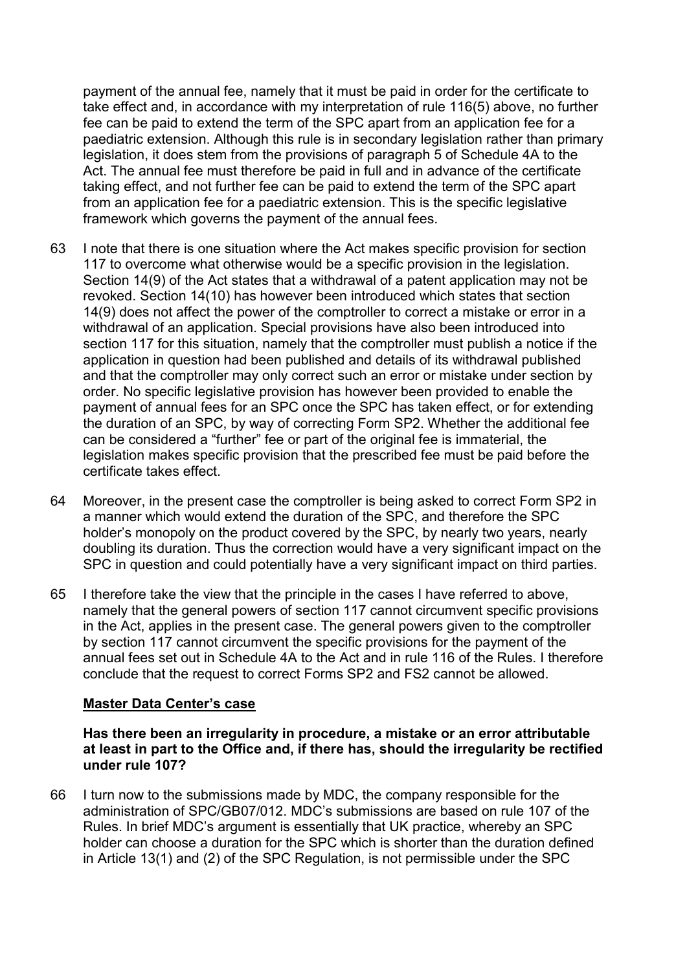payment of the annual fee, namely that it must be paid in order for the certificate to take effect and, in accordance with my interpretation of rule 116(5) above, no further fee can be paid to extend the term of the SPC apart from an application fee for a paediatric extension. Although this rule is in secondary legislation rather than primary legislation, it does stem from the provisions of paragraph 5 of Schedule 4A to the Act. The annual fee must therefore be paid in full and in advance of the certificate taking effect, and not further fee can be paid to extend the term of the SPC apart from an application fee for a paediatric extension. This is the specific legislative framework which governs the payment of the annual fees.

- 63 I note that there is one situation where the Act makes specific provision for section 117 to overcome what otherwise would be a specific provision in the legislation. Section 14(9) of the Act states that a withdrawal of a patent application may not be revoked. Section 14(10) has however been introduced which states that section 14(9) does not affect the power of the comptroller to correct a mistake or error in a withdrawal of an application. Special provisions have also been introduced into section 117 for this situation, namely that the comptroller must publish a notice if the application in question had been published and details of its withdrawal published and that the comptroller may only correct such an error or mistake under section by order. No specific legislative provision has however been provided to enable the payment of annual fees for an SPC once the SPC has taken effect, or for extending the duration of an SPC, by way of correcting Form SP2. Whether the additional fee can be considered a "further" fee or part of the original fee is immaterial, the legislation makes specific provision that the prescribed fee must be paid before the certificate takes effect.
- 64 Moreover, in the present case the comptroller is being asked to correct Form SP2 in a manner which would extend the duration of the SPC, and therefore the SPC holder's monopoly on the product covered by the SPC, by nearly two years, nearly doubling its duration. Thus the correction would have a very significant impact on the SPC in question and could potentially have a very significant impact on third parties.
- 65 I therefore take the view that the principle in the cases I have referred to above, namely that the general powers of section 117 cannot circumvent specific provisions in the Act, applies in the present case. The general powers given to the comptroller by section 117 cannot circumvent the specific provisions for the payment of the annual fees set out in Schedule 4A to the Act and in rule 116 of the Rules. I therefore conclude that the request to correct Forms SP2 and FS2 cannot be allowed.

# **Master Data Center's case**

**Has there been an irregularity in procedure, a mistake or an error attributable at least in part to the Office and, if there has, should the irregularity be rectified under rule 107?**

66 I turn now to the submissions made by MDC, the company responsible for the administration of SPC/GB07/012. MDC's submissions are based on rule 107 of the Rules. In brief MDC's argument is essentially that UK practice, whereby an SPC holder can choose a duration for the SPC which is shorter than the duration defined in Article 13(1) and (2) of the SPC Regulation, is not permissible under the SPC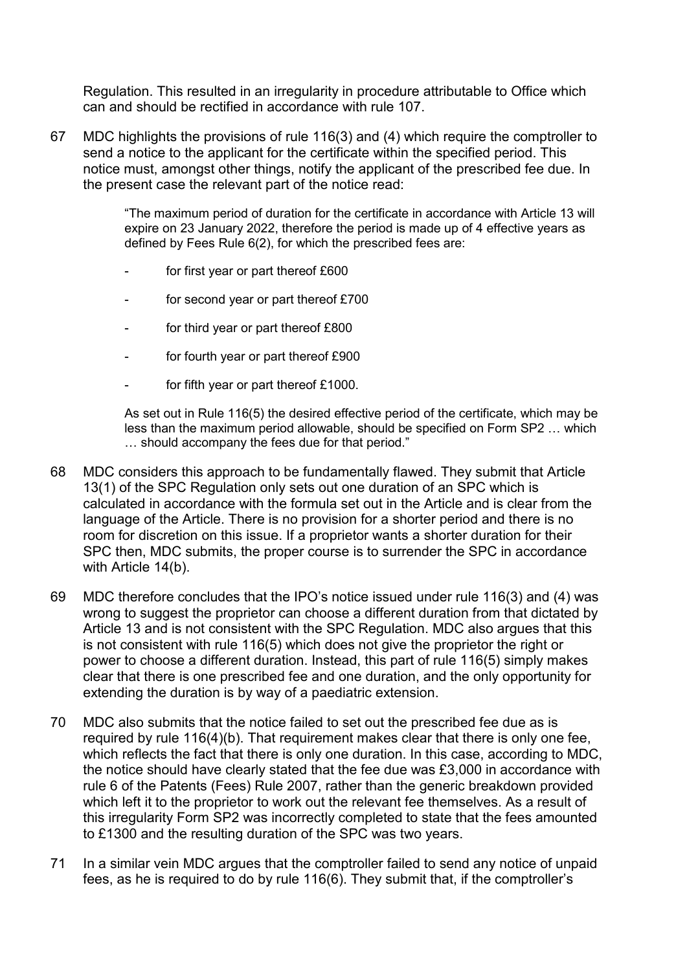Regulation. This resulted in an irregularity in procedure attributable to Office which can and should be rectified in accordance with rule 107.

67 MDC highlights the provisions of rule 116(3) and (4) which require the comptroller to send a notice to the applicant for the certificate within the specified period. This notice must, amongst other things, notify the applicant of the prescribed fee due. In the present case the relevant part of the notice read:

> "The maximum period of duration for the certificate in accordance with Article 13 will expire on 23 January 2022, therefore the period is made up of 4 effective years as defined by Fees Rule 6(2), for which the prescribed fees are:

- for first year or part thereof £600
- for second year or part thereof £700
- for third year or part thereof £800
- for fourth year or part thereof £900
- for fifth year or part thereof  $£1000$ .

As set out in Rule 116(5) the desired effective period of the certificate, which may be less than the maximum period allowable, should be specified on Form SP2 … which … should accompany the fees due for that period."

- 68 MDC considers this approach to be fundamentally flawed. They submit that Article 13(1) of the SPC Regulation only sets out one duration of an SPC which is calculated in accordance with the formula set out in the Article and is clear from the language of the Article. There is no provision for a shorter period and there is no room for discretion on this issue. If a proprietor wants a shorter duration for their SPC then, MDC submits, the proper course is to surrender the SPC in accordance with Article 14(b).
- 69 MDC therefore concludes that the IPO's notice issued under rule 116(3) and (4) was wrong to suggest the proprietor can choose a different duration from that dictated by Article 13 and is not consistent with the SPC Regulation. MDC also argues that this is not consistent with rule 116(5) which does not give the proprietor the right or power to choose a different duration. Instead, this part of rule 116(5) simply makes clear that there is one prescribed fee and one duration, and the only opportunity for extending the duration is by way of a paediatric extension.
- 70 MDC also submits that the notice failed to set out the prescribed fee due as is required by rule 116(4)(b). That requirement makes clear that there is only one fee, which reflects the fact that there is only one duration. In this case, according to MDC, the notice should have clearly stated that the fee due was £3,000 in accordance with rule 6 of the Patents (Fees) Rule 2007, rather than the generic breakdown provided which left it to the proprietor to work out the relevant fee themselves. As a result of this irregularity Form SP2 was incorrectly completed to state that the fees amounted to £1300 and the resulting duration of the SPC was two years.
- 71 In a similar vein MDC argues that the comptroller failed to send any notice of unpaid fees, as he is required to do by rule 116(6). They submit that, if the comptroller's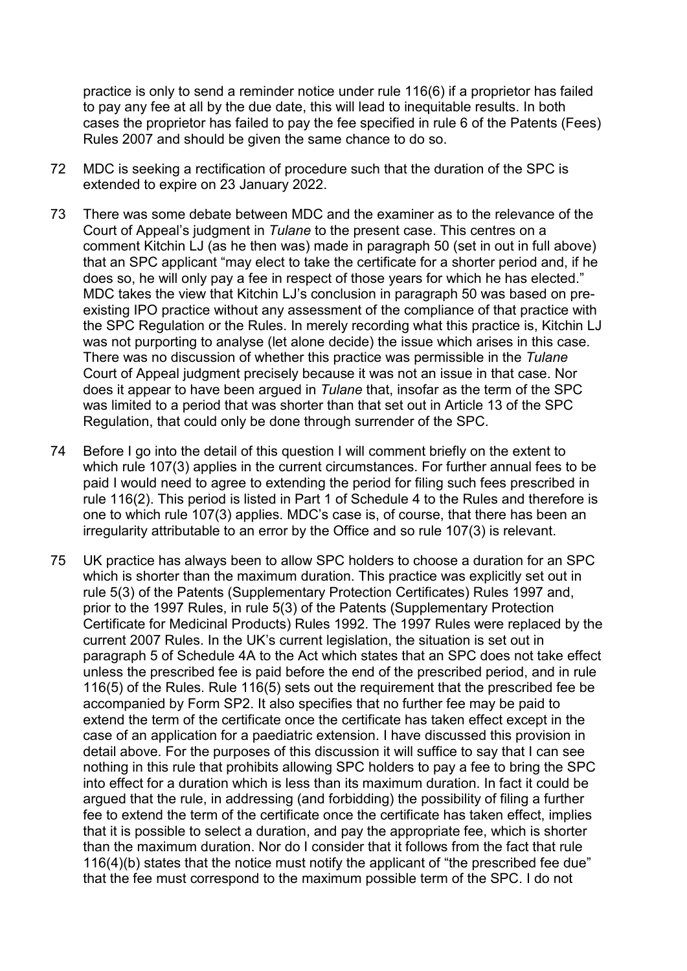practice is only to send a reminder notice under rule 116(6) if a proprietor has failed to pay any fee at all by the due date, this will lead to inequitable results. In both cases the proprietor has failed to pay the fee specified in rule 6 of the Patents (Fees) Rules 2007 and should be given the same chance to do so.

- 72 MDC is seeking a rectification of procedure such that the duration of the SPC is extended to expire on 23 January 2022.
- 73 There was some debate between MDC and the examiner as to the relevance of the Court of Appeal's judgment in *Tulane* to the present case. This centres on a comment Kitchin LJ (as he then was) made in paragraph 50 (set in out in full above) that an SPC applicant "may elect to take the certificate for a shorter period and, if he does so, he will only pay a fee in respect of those years for which he has elected." MDC takes the view that Kitchin LJ's conclusion in paragraph 50 was based on preexisting IPO practice without any assessment of the compliance of that practice with the SPC Regulation or the Rules. In merely recording what this practice is, Kitchin LJ was not purporting to analyse (let alone decide) the issue which arises in this case. There was no discussion of whether this practice was permissible in the *Tulane* Court of Appeal judgment precisely because it was not an issue in that case. Nor does it appear to have been argued in *Tulane* that, insofar as the term of the SPC was limited to a period that was shorter than that set out in Article 13 of the SPC Regulation, that could only be done through surrender of the SPC.
- 74 Before I go into the detail of this question I will comment briefly on the extent to which rule 107(3) applies in the current circumstances. For further annual fees to be paid I would need to agree to extending the period for filing such fees prescribed in rule 116(2). This period is listed in Part 1 of Schedule 4 to the Rules and therefore is one to which rule 107(3) applies. MDC's case is, of course, that there has been an irregularity attributable to an error by the Office and so rule 107(3) is relevant.
- 75 UK practice has always been to allow SPC holders to choose a duration for an SPC which is shorter than the maximum duration. This practice was explicitly set out in rule 5(3) of the Patents (Supplementary Protection Certificates) Rules 1997 and, prior to the 1997 Rules, in rule 5(3) of the Patents (Supplementary Protection Certificate for Medicinal Products) Rules 1992. The 1997 Rules were replaced by the current 2007 Rules. In the UK's current legislation, the situation is set out in paragraph 5 of Schedule 4A to the Act which states that an SPC does not take effect unless the prescribed fee is paid before the end of the prescribed period, and in rule 116(5) of the Rules. Rule 116(5) sets out the requirement that the prescribed fee be accompanied by Form SP2. It also specifies that no further fee may be paid to extend the term of the certificate once the certificate has taken effect except in the case of an application for a paediatric extension. I have discussed this provision in detail above. For the purposes of this discussion it will suffice to say that I can see nothing in this rule that prohibits allowing SPC holders to pay a fee to bring the SPC into effect for a duration which is less than its maximum duration. In fact it could be argued that the rule, in addressing (and forbidding) the possibility of filing a further fee to extend the term of the certificate once the certificate has taken effect, implies that it is possible to select a duration, and pay the appropriate fee, which is shorter than the maximum duration. Nor do I consider that it follows from the fact that rule 116(4)(b) states that the notice must notify the applicant of "the prescribed fee due" that the fee must correspond to the maximum possible term of the SPC. I do not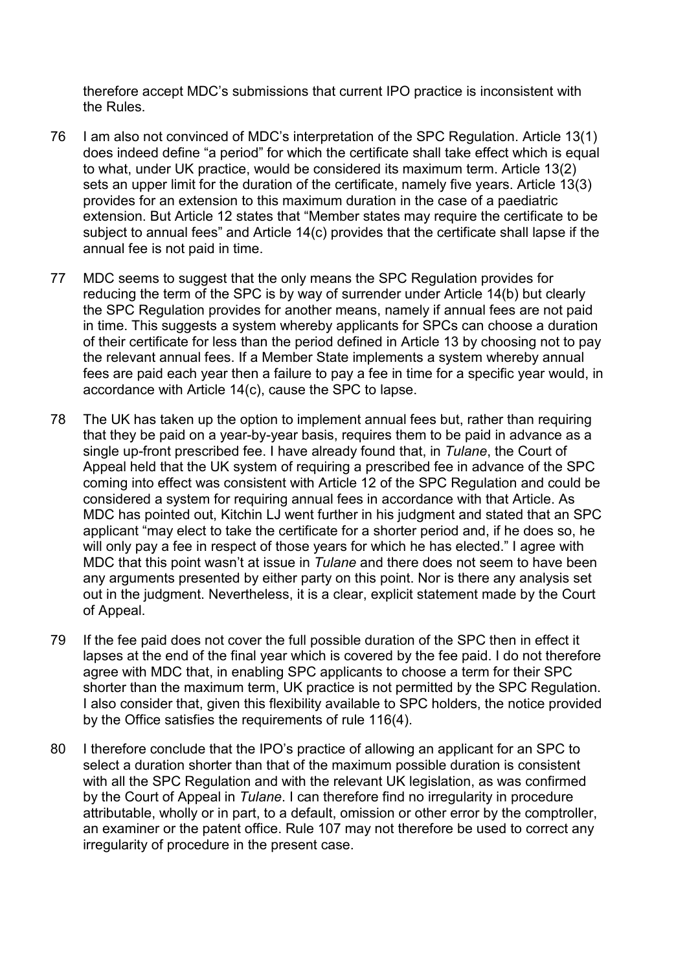therefore accept MDC's submissions that current IPO practice is inconsistent with the Rules.

- 76 I am also not convinced of MDC's interpretation of the SPC Regulation. Article 13(1) does indeed define "a period" for which the certificate shall take effect which is equal to what, under UK practice, would be considered its maximum term. Article 13(2) sets an upper limit for the duration of the certificate, namely five years. Article 13(3) provides for an extension to this maximum duration in the case of a paediatric extension. But Article 12 states that "Member states may require the certificate to be subject to annual fees" and Article 14(c) provides that the certificate shall lapse if the annual fee is not paid in time.
- 77 MDC seems to suggest that the only means the SPC Regulation provides for reducing the term of the SPC is by way of surrender under Article 14(b) but clearly the SPC Regulation provides for another means, namely if annual fees are not paid in time. This suggests a system whereby applicants for SPCs can choose a duration of their certificate for less than the period defined in Article 13 by choosing not to pay the relevant annual fees. If a Member State implements a system whereby annual fees are paid each year then a failure to pay a fee in time for a specific year would, in accordance with Article 14(c), cause the SPC to lapse.
- 78 The UK has taken up the option to implement annual fees but, rather than requiring that they be paid on a year-by-year basis, requires them to be paid in advance as a single up-front prescribed fee. I have already found that, in *Tulane*, the Court of Appeal held that the UK system of requiring a prescribed fee in advance of the SPC coming into effect was consistent with Article 12 of the SPC Regulation and could be considered a system for requiring annual fees in accordance with that Article. As MDC has pointed out, Kitchin LJ went further in his judgment and stated that an SPC applicant "may elect to take the certificate for a shorter period and, if he does so, he will only pay a fee in respect of those years for which he has elected." I agree with MDC that this point wasn't at issue in *Tulane* and there does not seem to have been any arguments presented by either party on this point. Nor is there any analysis set out in the judgment. Nevertheless, it is a clear, explicit statement made by the Court of Appeal.
- 79 If the fee paid does not cover the full possible duration of the SPC then in effect it lapses at the end of the final year which is covered by the fee paid. I do not therefore agree with MDC that, in enabling SPC applicants to choose a term for their SPC shorter than the maximum term, UK practice is not permitted by the SPC Regulation. I also consider that, given this flexibility available to SPC holders, the notice provided by the Office satisfies the requirements of rule 116(4).
- 80 I therefore conclude that the IPO's practice of allowing an applicant for an SPC to select a duration shorter than that of the maximum possible duration is consistent with all the SPC Regulation and with the relevant UK legislation, as was confirmed by the Court of Appeal in *Tulane*. I can therefore find no irregularity in procedure attributable, wholly or in part, to a default, omission or other error by the comptroller, an examiner or the patent office. Rule 107 may not therefore be used to correct any irregularity of procedure in the present case.